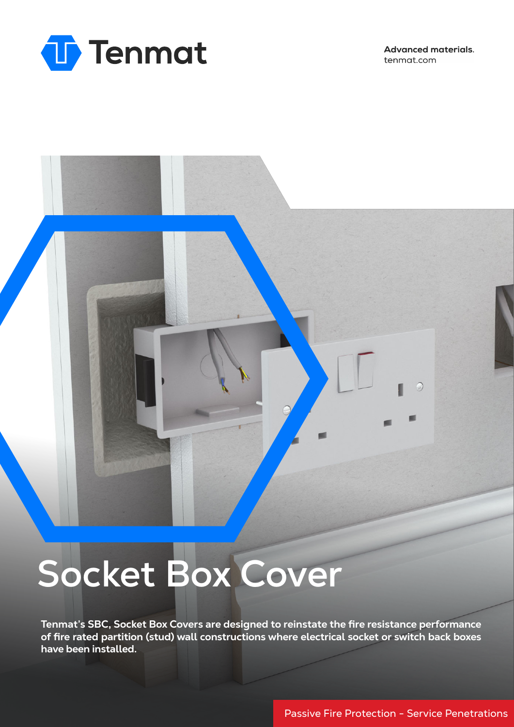

**Advanced materials.** tenmat.com

 $\circ$ 

# **Socket Box Cover**

**Tenmat's SBC, Socket Box Covers are designed to reinstate the fire resistance performance of fire rated partition (stud) wall constructions where electrical socket or switch back boxes have been installed.**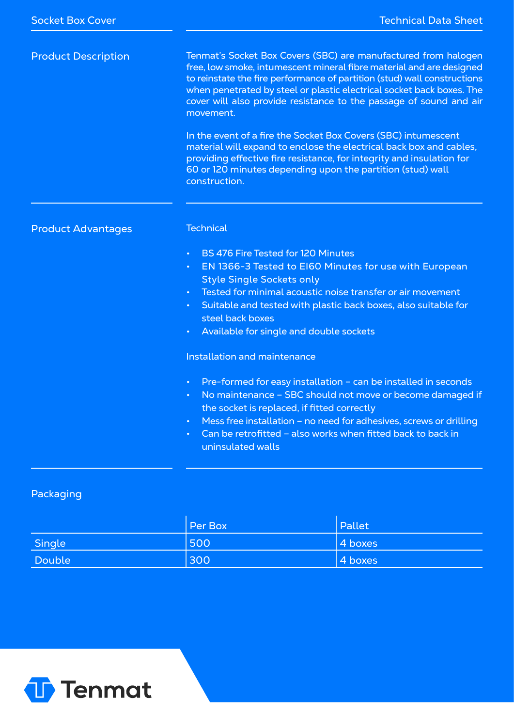| <b>Product Description</b> | Tenmat's Socket Box Covers (SBC) are manufactured from halogen<br>free, low smoke, intumescent mineral fibre material and are designed<br>to reinstate the fire performance of partition (stud) wall constructions<br>when penetrated by steel or plastic electrical socket back boxes. The<br>cover will also provide resistance to the passage of sound and air<br>movement.<br>In the event of a fire the Socket Box Covers (SBC) intumescent<br>material will expand to enclose the electrical back box and cables,<br>providing effective fire resistance, for integrity and insulation for<br>60 or 120 minutes depending upon the partition (stud) wall |  |  |  |  |
|----------------------------|----------------------------------------------------------------------------------------------------------------------------------------------------------------------------------------------------------------------------------------------------------------------------------------------------------------------------------------------------------------------------------------------------------------------------------------------------------------------------------------------------------------------------------------------------------------------------------------------------------------------------------------------------------------|--|--|--|--|
|                            | construction.                                                                                                                                                                                                                                                                                                                                                                                                                                                                                                                                                                                                                                                  |  |  |  |  |
| <b>Product Advantages</b>  | <b>Technical</b>                                                                                                                                                                                                                                                                                                                                                                                                                                                                                                                                                                                                                                               |  |  |  |  |
|                            | BS 476 Fire Tested for 120 Minutes<br>$\bullet$ .<br>EN 1366-3 Tested to EI60 Minutes for use with European<br>$\bullet$<br><b>Style Single Sockets only</b><br>Tested for minimal acoustic noise transfer or air movement<br>Suitable and tested with plastic back boxes, also suitable for<br>$\bullet$<br>steel back boxes<br>Available for single and double sockets                                                                                                                                                                                                                                                                                       |  |  |  |  |
|                            | Installation and maintenance                                                                                                                                                                                                                                                                                                                                                                                                                                                                                                                                                                                                                                   |  |  |  |  |
|                            | Pre-formed for easy installation - can be installed in seconds<br>$\bullet$<br>No maintenance - SBC should not move or become damaged if<br>$\bullet$<br>the socket is replaced, if fitted correctly<br>Mess free installation - no need for adhesives, screws or drilling<br>$\bullet$<br>Can be retrofitted - also works when fitted back to back in<br>uninsulated walls                                                                                                                                                                                                                                                                                    |  |  |  |  |

## Packaging

|        | <b>Per Box</b> | Pallet  |
|--------|----------------|---------|
| Single | 500            | 4 boxes |
| Double | 300            | 4 boxes |

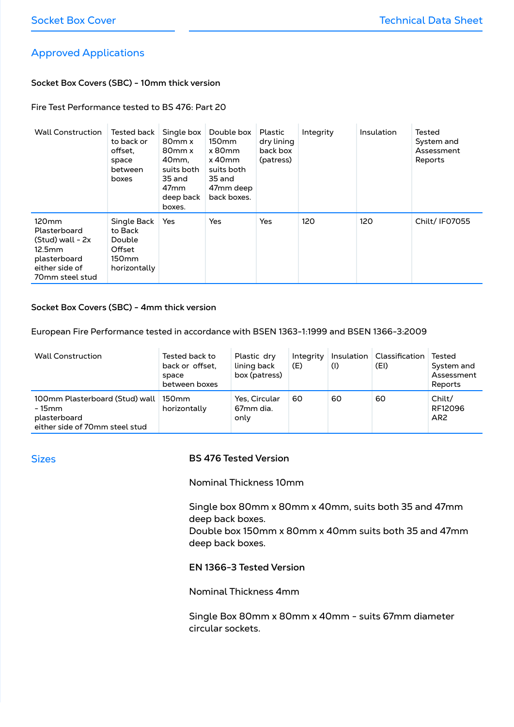## Approved Applications

## **Socket Box Covers (SBC) - 10mm thick version**

#### Fire Test Performance tested to BS 476: Part 20

| <b>Wall Construction</b>                                                                                                 | Tested back<br>to back or<br>offset.<br>space<br>between<br>boxes               | Single box<br>80 <sub>mm</sub> x<br>80 <sub>mm</sub> x<br>40mm.<br>suits both<br>35 and<br>47 <sub>mm</sub><br>deep back<br>boxes. | Double box<br>150 <sub>mm</sub><br>x80mm<br>$x$ 40 $mm$<br>suits both<br>35 and<br>47mm deep<br>back boxes. | Plastic<br>dry lining<br>back box<br>(patress) | Integrity | Insulation | Tested<br>System and<br>Assessment<br>Reports |
|--------------------------------------------------------------------------------------------------------------------------|---------------------------------------------------------------------------------|------------------------------------------------------------------------------------------------------------------------------------|-------------------------------------------------------------------------------------------------------------|------------------------------------------------|-----------|------------|-----------------------------------------------|
| 120 <sub>mm</sub><br>Plasterboard<br>$(Stud)$ wall - $2x$<br>12.5mm<br>plasterboard<br>either side of<br>70mm steel stud | Single Back<br>to Back<br>Double<br>Offset<br>150 <sub>mm</sub><br>horizontally | Yes                                                                                                                                | Yes                                                                                                         | Yes                                            | 120       | 120        | Chilt/ IF07055                                |

#### **Socket Box Covers (SBC) - 4mm thick version**

European Fire Performance tested in accordance with BSEN 1363-1:1999 and BSEN 1366-3:2009

| <b>Wall Construction</b>                                                                   | Tested back to<br>back or offset.<br>space<br>between boxes | Plastic dry<br>lining back<br>box (patress)    | Integrity<br>(E) | (1) | Insulation   Classification<br>(EI) | Tested<br>System and<br>Assessment<br>Reports |
|--------------------------------------------------------------------------------------------|-------------------------------------------------------------|------------------------------------------------|------------------|-----|-------------------------------------|-----------------------------------------------|
| 100mm Plasterboard (Stud) wall<br>- 15mm<br>plasterboard<br>either side of 70mm steel stud | 150mm<br>horizontally                                       | Yes, Circular<br>67 <sub>mm</sub> dia.<br>only | 60               | 60  | 60                                  | Chilt/<br>RF12096<br>AR <sub>2</sub>          |

#### Sizes

## **BS 476 Tested Version**

Nominal Thickness 10mm

Single box 80mm x 80mm x 40mm, suits both 35 and 47mm deep back boxes.

Double box 150mm x 80mm x 40mm suits both 35 and 47mm deep back boxes.

#### **EN 1366-3 Tested Version**

Nominal Thickness 4mm

Single Box 80mm x 80mm x 40mm - suits 67mm diameter circular sockets.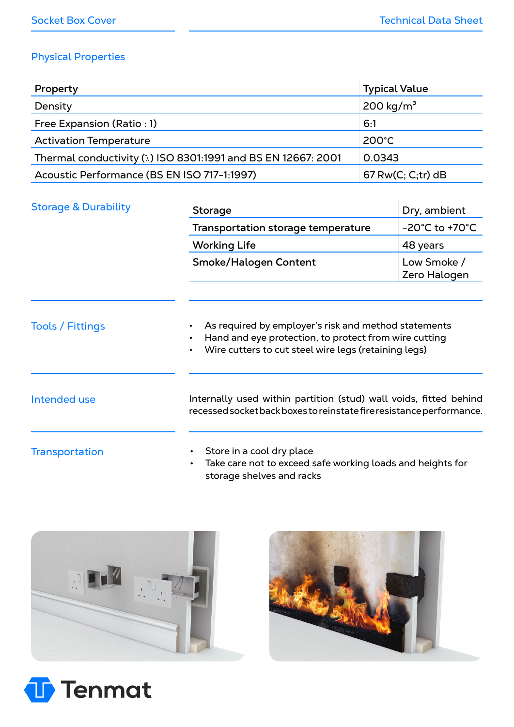## Physical Properties

| Property                                                             | <b>Typical Value</b>  |
|----------------------------------------------------------------------|-----------------------|
| Density                                                              | 200 kg/m <sup>3</sup> |
| Free Expansion (Ratio: 1)                                            | 6:1                   |
| <b>Activation Temperature</b>                                        | $200^{\circ}$ C       |
| Thermal conductivity $(\lambda)$ ISO 8301:1991 and BS EN 12667: 2001 | 0.0343                |
| Acoustic Performance (BS EN ISO 717-1:1997)                          | $67$ Rw(C; C;tr) dB   |

| <b>Storage &amp; Durability</b> | <b>Storage</b>                                                                                                                                                                     | Dry, ambient                        |  |  |  |  |
|---------------------------------|------------------------------------------------------------------------------------------------------------------------------------------------------------------------------------|-------------------------------------|--|--|--|--|
|                                 | Transportation storage temperature                                                                                                                                                 | $-20^{\circ}$ C to +70 $^{\circ}$ C |  |  |  |  |
|                                 | <b>Working Life</b>                                                                                                                                                                | 48 years                            |  |  |  |  |
|                                 | <b>Smoke/Halogen Content</b>                                                                                                                                                       | Low Smoke /<br>Zero Halogen         |  |  |  |  |
| <b>Tools / Fittings</b>         | As required by employer's risk and method statements<br>Hand and eye protection, to protect from wire cutting<br>$\bullet$<br>Wire cutters to cut steel wire legs (retaining legs) |                                     |  |  |  |  |
| <b>Intended use</b>             | Internally used within partition (stud) wall voids, fitted behind<br>recessed socket back boxes to reinstate fire resistance performance.                                          |                                     |  |  |  |  |
| <b>Transportation</b>           | Store in a cool dry place<br>Take care not to exceed safe working loads and heights for<br>$\bullet$<br>storage shelves and racks                                                  |                                     |  |  |  |  |





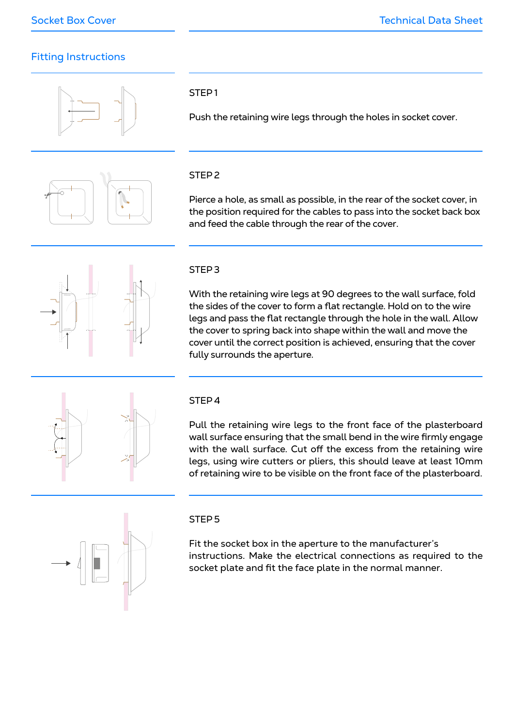## Fitting Instructions





## STEP 1

Push the retaining wire legs through the holes in socket cover.

## STEP 2

Pierce a hole, as small as possible, in the rear of the socket cover, in the position required for the cables to pass into the socket back box and feed the cable through the rear of the cover.



## STEP 3

With the retaining wire legs at 90 degrees to the wall surface, fold the sides of the cover to form a flat rectangle. Hold on to the wire legs and pass the flat rectangle through the hole in the wall. Allow the cover to spring back into shape within the wall and move the cover until the correct position is achieved, ensuring that the cover fully surrounds the aperture.



## STEP 4

Pull the retaining wire legs to the front face of the plasterboard wall surface ensuring that the small bend in the wire firmly engage with the wall surface. Cut off the excess from the retaining wire legs, using wire cutters or pliers, this should leave at least 10mm of retaining wire to be visible on the front face of the plasterboard.



## STEP 5

Fit the socket box in the aperture to the manufacturer's instructions. Make the electrical connections as required to the socket plate and fit the face plate in the normal manner.